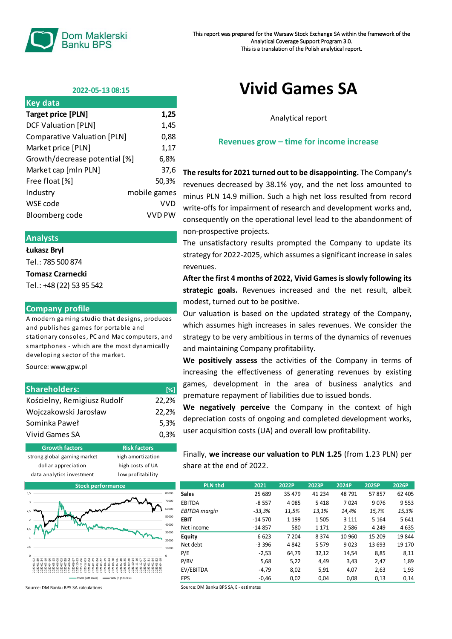

## **2022-05-13 08:15**

| <b>Key data</b>               |              |
|-------------------------------|--------------|
| <b>Target price [PLN]</b>     | 1,25         |
| <b>DCF Valuation [PLN]</b>    | 1,45         |
| Comparative Valuation [PLN]   | 0,88         |
| Market price [PLN]            | 1,17         |
| Growth/decrease potential [%] | 6,8%         |
| Market cap [mln PLN]          | 37,6         |
| Free float [%]                | 50,3%        |
| Industry                      | mobile games |
| WSE code                      | VVD          |
| Bloomberg code                | VVD PW       |

### **Analysts**

**Łukasz Bryl**

Tel.: 785 500 874

#### **Tomasz Czarnecki**

Tel.: +48 (22) 53 95 542

### **Company profile**

A modern gaming studio that designs, produces and publishes games for portable and stationary consoles, PC and Mac computers, and smartphones - which are the most dynamically developing sector of the market.

Source: www.gpw.pl

| <b>Shareholders:</b>        | $\sqrt{3}$ |
|-----------------------------|------------|
| Kościelny, Remigiusz Rudolf | 22.2%      |
| Wojczakowski Jarosław       | 22,2%      |
| Sominka Paweł               | 5.3%       |
| Vivid Games SA              | 0.3%       |

| <b>Growth factors'</b>      | <b>Risk factors</b> |  |  |
|-----------------------------|---------------------|--|--|
| strong global gaming market | high amortization   |  |  |
| dollar appreciation         | high costs of UA    |  |  |
| data analytics investment   | low profitability   |  |  |
|                             |                     |  |  |



Source: DM Banku BPS SA calculations

# **Vivid Games SA**

Analytical report

### **Revenues grow – time for income increase**

**The results for 2021 turned out to be disappointing.** The Company's revenues decreased by 38.1% yoy, and the net loss amounted to minus PLN 14.9 million. Such a high net loss resulted from record write-offs for impairment of research and development works and, consequently on the operational level lead to the abandonment of non-prospective projects.

The unsatisfactory results prompted the Company to update its strategy for 2022-2025, which assumes a significant increase in sales revenues.

**After the first 4 months of 2022, Vivid Games is slowly following its strategic goals.** Revenues increased and the net result, albeit modest, turned out to be positive.

Our valuation is based on the updated strategy of the Company, which assumes high increases in sales revenues. We consider the strategy to be very ambitious in terms of the dynamics of revenues and maintaining Company profitability.

**We positively assess** the activities of the Company in terms of increasing the effectiveness of generating revenues by existing games, development in the area of business analytics and premature repayment of liabilities due to issued bonds.

**We negatively perceive** the Company in the context of high depreciation costs of ongoing and completed development works, user acquisition costs (UA) and overall low profitability.

Finally, **we increase our valuation to PLN 1.25** (from 1.23 PLN) per share at the end of 2022.

| <b>PLN thd</b>       | 2021     | 2022P   | 2023P   | 2024P   | 2025P   | 2026P   |
|----------------------|----------|---------|---------|---------|---------|---------|
| <b>Sales</b>         | 25 689   | 35 479  | 41 2 34 | 48 791  | 57857   | 62 405  |
| EBITDA               | $-8557$  | 4 0 8 5 | 5418    | 7024    | 9076    | 9553    |
| <b>EBITDA</b> margin | $-33,3%$ | 11,5%   | 13,1%   | 14.4%   | 15,7%   | 15,3%   |
| <b>EBIT</b>          | $-14570$ | 1 1 9 9 | 1 5 0 5 | 3 1 1 1 | 5 1 6 4 | 5 6 4 1 |
| Net income           | $-14857$ | 580     | 1 1 7 1 | 2586    | 4 2 4 9 | 4635    |
| Equity               | 6623     | 7 204   | 8 3 7 4 | 10 960  | 15 209  | 19844   |
| Net debt             | $-3396$  | 4 8 4 2 | 5 5 7 9 | 9023    | 13 693  | 19 170  |
| P/E                  | $-2,53$  | 64,79   | 32,12   | 14,54   | 8,85    | 8,11    |
| P/BV                 | 5,68     | 5,22    | 4.49    | 3,43    | 2,47    | 1,89    |
| EV/EBITDA            | $-4.79$  | 8,02    | 5,91    | 4,07    | 2,63    | 1,93    |
| EPS                  | $-0,46$  | 0.02    | 0.04    | 0,08    | 0,13    | 0,14    |

Source: DM Banku BPS SA, E - estimates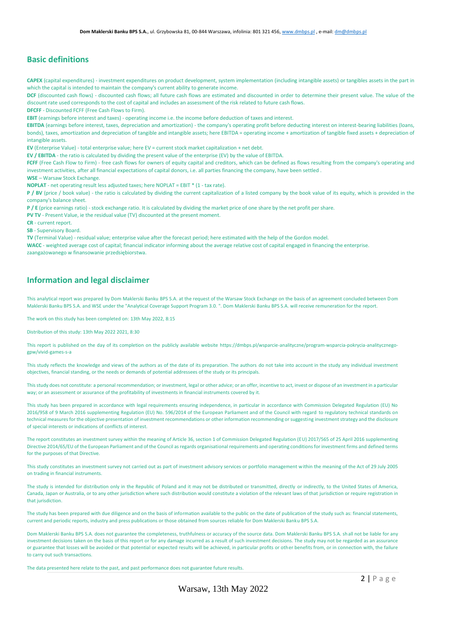## **Basic definitions**

**CAPEX** (capital expenditures) - investment expenditures on product development, system implementation (including intangible assets) or tangibles assets in the part in which the capital is intended to maintain the company's current ability to generate income.

DCF (discounted cash flows) - discounted cash flows; all future cash flows are estimated and discounted in order to determine their present value. The value of the discount rate used corresponds to the cost of capital and includes an assessment of the risk related to future cash flows.

**DFCFF** - Discounted FCFF (Free Cash Flows to Firm).

**EBIT** (earnings before interest and taxes) - operating income i.e. the income before deduction of taxes and interest.

**EBITDA** (earnings before interest, taxes, depreciation and amortization) - the company's operating profit before deducting interest on interest-bearing liabilities (loans, bonds), taxes, amortization and depreciation of tangible and intangible assets; here EBITDA = operating income + amortization of tangible fixed assets + depreciation of intangible assets.

**EV** (Enterprise Value) - total enterprise value; here EV = current stock market capitalization + net debt.

**EV / EBITDA** - the ratio is calculated by dividing the present value of the enterprise (EV) by the value of EBITDA.

**FCFF** (Free Cash Flow to Firm) - free cash flows for owners of equity capital and creditors, which can be defined as flows resulting from the company's operating and investment activities, after all financial expectations of capital donors, i.e. all parties financing the company, have been settled .

**WSE** – Warsaw Stock Exchange.

**NOPLAT** - net operating result less adjusted taxes; here NOPLAT = EBIT \* (1 - tax rate).

**P / BV** (price / book value) - the ratio is calculated by dividing the current capitalization of a listed company by the book value of its equity, which is provided in the company's balance sheet.

**P / E** (price earnings ratio) - stock exchange ratio. It is calculated by dividing the market price of one share by the net profit per share.

**PV TV** - Present Value, ie the residual value (TV) discounted at the present moment.

**CR** - current report.

**SB** - Supervisory Board.

**TV** (Terminal Value) - residual value; enterprise value after the forecast period; here estimated with the help of the Gordon model.

**WACC** - weighted average cost of capital; financial indicator informing about the average relative cost of capital engaged in financing the enterprise. zaangażowanego w finansowanie przedsiębiorstwa.

# **Information and legal disclaimer**

This analytical report was prepared by Dom Maklerski Banku BPS S.A. at the request of the Warsaw Stock Exchange on the basis of an agreement concluded between Dom Maklerski Banku BPS S.A. and WSE under the "Analytical Coverage Support Program 3.0. ". Dom Maklerski Banku BPS S.A. will receive remuneration for the report.

The work on this study has been completed on: 13th May 2022, 8:15

Distribution of this study: 13th May 2022 2021, 8:30

This report is published on the day of its completion on the publicly available website https://dmbps.pl/wsparcie-analityczne/program-wsparcia-pokrycia-analitycznegogpw/vivid-games-s-a

This study reflects the knowledge and views of the authors as of the date of its preparation. The authors do not take into account in the study any individual investment objectives, financial standing, or the needs or demands of potential addressees of the study or its principals.

This study does not constitute: a personal recommendation; or investment, legal or other advice; or an offer, incentive to act, invest or dispose of an investment in a particular way; or an assessment or assurance of the profitability of investments in financial instruments covered by it.

This study has been prepared in accordance with legal requirements ensuring independence, in particular in accordance with Commission Delegated Regulation (EU) No 2016/958 of 9 March 2016 supplementing Regulation (EU) No. 596/2014 of the European Parliament and of the Council with regard to regulatory technical standards on technical measures for the objective presentation of investment recommendations or other information recommending or suggesting investment strategy and the disclosure of special interests or indications of conflicts of interest.

The report constitutes an investment survey within the meaning of Article 36, section 1 of Commission Delegated Regulation (EU) 2017/565 of 25 April 2016 supplementing Directive 2014/65/EU of the European Parliament and of the Council as regards organisational requirements and operating conditions for investment firms and defined terms for the purposes of that Directive.

This study constitutes an investment survey not carried out as part of investment advisory services or portfolio management within the meaning of the Act of 29 July 2005 on trading in financial instruments.

The study is intended for distribution only in the Republic of Poland and it may not be distributed or transmitted, directly or indirectly, to the United States of America, Canada, Japan or Australia, or to any other jurisdiction where such distribution would constitute a violation of the relevant laws of that jurisdiction or require registration in that jurisdiction.

The study has been prepared with due diligence and on the basis of information available to the public on the date of publication of the study such as: financial statements, current and periodic reports, industry and press publications or those obtained from sources reliable for Dom Maklerski Banku BPS S.A.

Dom Maklerski Banku BPS S.A. does not guarantee the completeness, truthfulness or accuracy of the source data. Dom Maklerski Banku BPS S.A. shall not be liable for any investment decisions taken on the basis of this report or for any damage incurred as a result of such investment decisions. The study may not be regarded as an assurance or guarantee that losses will be avoided or that potential or expected results will be achieved, in particular profits or other benefits from, or in connection with, the failure to carry out such transactions.

The data presented here relate to the past, and past performance does not guarantee future results.